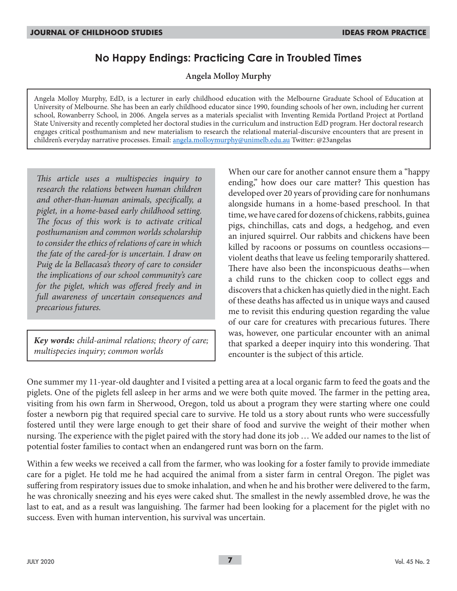# **No Happy Endings: Practicing Care in Troubled Times**

**Angela Molloy Murphy**

Angela Molloy Murphy, EdD, is a lecturer in early childhood education with the Melbourne Graduate School of Education at University of Melbourne. She has been an early childhood educator since 1990, founding schools of her own, including her current school, Rowanberry School, in 2006. Angela serves as a materials specialist with Inventing Remida Portland Project at Portland State University and recently completed her doctoral studies in the curriculum and instruction EdD program. Her doctoral research engages critical posthumanism and new materialism to research the relational material-discursive encounters that are present in children's everyday narrative processes. Email: angela.molloymurphy@unimelb.edu.au Twitter: @23angelas

*This article uses a multispecies inquiry to research the relations between human children and other-than-human animals, specifically, a piglet, in a home-based early childhood setting. The focus of this work is to activate critical posthumanism and common worlds scholarship to consider the ethics of relations of care in which the fate of the cared-for is uncertain. I draw on Puig de la Bellacasa's theory of care to consider the implications of our school community's care for the piglet, which was offered freely and in full awareness of uncertain consequences and precarious futures.*

*Key words: child-animal relations; theory of care; multispecies inquiry; common worlds*

When our care for another cannot ensure them a "happy ending," how does our care matter? This question has developed over 20 years of providing care for nonhumans alongside humans in a home-based preschool. In that time, we have cared for dozens of chickens, rabbits, guinea pigs, chinchillas, cats and dogs, a hedgehog, and even an injured squirrel. Our rabbits and chickens have been killed by racoons or possums on countless occasions violent deaths that leave us feeling temporarily shattered. There have also been the inconspicuous deaths—when a child runs to the chicken coop to collect eggs and discovers that a chicken has quietly died in the night. Each of these deaths has affected us in unique ways and caused me to revisit this enduring question regarding the value of our care for creatures with precarious futures. There was, however, one particular encounter with an animal that sparked a deeper inquiry into this wondering. That encounter is the subject of this article.

One summer my 11-year-old daughter and I visited a petting area at a local organic farm to feed the goats and the piglets. One of the piglets fell asleep in her arms and we were both quite moved. The farmer in the petting area, visiting from his own farm in Sherwood, Oregon, told us about a program they were starting where one could foster a newborn pig that required special care to survive. He told us a story about runts who were successfully fostered until they were large enough to get their share of food and survive the weight of their mother when nursing. The experience with the piglet paired with the story had done its job … We added our names to the list of potential foster families to contact when an endangered runt was born on the farm.

Within a few weeks we received a call from the farmer, who was looking for a foster family to provide immediate care for a piglet. He told me he had acquired the animal from a sister farm in central Oregon. The piglet was suffering from respiratory issues due to smoke inhalation, and when he and his brother were delivered to the farm, he was chronically sneezing and his eyes were caked shut. The smallest in the newly assembled drove, he was the last to eat, and as a result was languishing. The farmer had been looking for a placement for the piglet with no success. Even with human intervention, his survival was uncertain.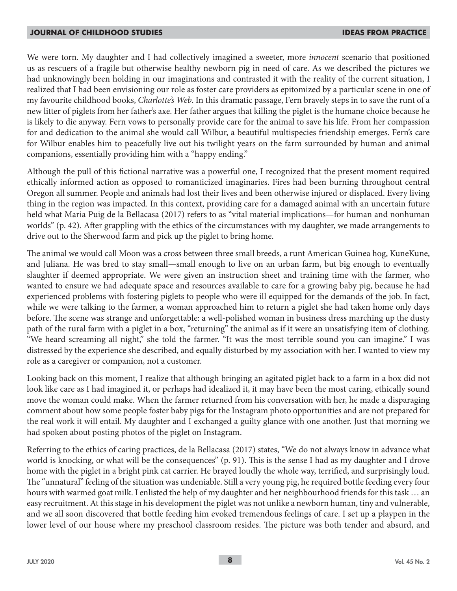We were torn. My daughter and I had collectively imagined a sweeter, more *innocent* scenario that positioned us as rescuers of a fragile but otherwise healthy newborn pig in need of care. As we described the pictures we had unknowingly been holding in our imaginations and contrasted it with the reality of the current situation, I realized that I had been envisioning our role as foster care providers as epitomized by a particular scene in one of my favourite childhood books, *Charlotte's Web*. In this dramatic passage, Fern bravely steps in to save the runt of a new litter of piglets from her father's axe. Her father argues that killing the piglet is the humane choice because he is likely to die anyway. Fern vows to personally provide care for the animal to save his life. From her compassion for and dedication to the animal she would call Wilbur, a beautiful multispecies friendship emerges. Fern's care for Wilbur enables him to peacefully live out his twilight years on the farm surrounded by human and animal companions, essentially providing him with a "happy ending."

Although the pull of this fictional narrative was a powerful one, I recognized that the present moment required ethically informed action as opposed to romanticized imaginaries. Fires had been burning throughout central Oregon all summer. People and animals had lost their lives and been otherwise injured or displaced. Every living thing in the region was impacted. In this context, providing care for a damaged animal with an uncertain future held what Maria Puig de la Bellacasa (2017) refers to as "vital material implications—for human and nonhuman worlds" (p. 42). After grappling with the ethics of the circumstances with my daughter, we made arrangements to drive out to the Sherwood farm and pick up the piglet to bring home.

The animal we would call Moon was a cross between three small breeds, a runt American Guinea hog, KuneKune, and Juliana. He was bred to stay small—small enough to live on an urban farm, but big enough to eventually slaughter if deemed appropriate. We were given an instruction sheet and training time with the farmer, who wanted to ensure we had adequate space and resources available to care for a growing baby pig, because he had experienced problems with fostering piglets to people who were ill equipped for the demands of the job. In fact, while we were talking to the farmer, a woman approached him to return a piglet she had taken home only days before. The scene was strange and unforgettable: a well-polished woman in business dress marching up the dusty path of the rural farm with a piglet in a box, "returning" the animal as if it were an unsatisfying item of clothing. "We heard screaming all night," she told the farmer. "It was the most terrible sound you can imagine." I was distressed by the experience she described, and equally disturbed by my association with her. I wanted to view my role as a caregiver or companion, not a customer.

Looking back on this moment, I realize that although bringing an agitated piglet back to a farm in a box did not look like care as I had imagined it, or perhaps had idealized it, it may have been the most caring, ethically sound move the woman could make. When the farmer returned from his conversation with her, he made a disparaging comment about how some people foster baby pigs for the Instagram photo opportunities and are not prepared for the real work it will entail. My daughter and I exchanged a guilty glance with one another. Just that morning we had spoken about posting photos of the piglet on Instagram.

Referring to the ethics of caring practices, de la Bellacasa (2017) states, "We do not always know in advance what world is knocking, or what will be the consequences" (p. 91). This is the sense I had as my daughter and I drove home with the piglet in a bright pink cat carrier. He brayed loudly the whole way, terrified, and surprisingly loud. The "unnatural" feeling of the situation was undeniable. Still a very young pig, he required bottle feeding every four hours with warmed goat milk. I enlisted the help of my daughter and her neighbourhood friends for this task … an easy recruitment. At this stage in his development the piglet was not unlike a newborn human, tiny and vulnerable, and we all soon discovered that bottle feeding him evoked tremendous feelings of care. I set up a playpen in the lower level of our house where my preschool classroom resides. The picture was both tender and absurd, and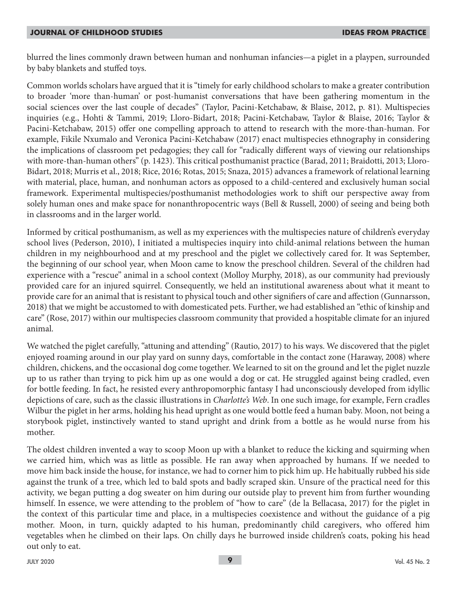blurred the lines commonly drawn between human and nonhuman infancies—a piglet in a playpen, surrounded by baby blankets and stuffed toys.

Common worlds scholars have argued that it is "timely for early childhood scholars to make a greater contribution to broader 'more than-human' or post-humanist conversations that have been gathering momentum in the social sciences over the last couple of decades" (Taylor, Pacini-Ketchabaw, & Blaise, 2012, p. 81). Multispecies inquiries (e.g., Hohti & Tammi, 2019; Lloro-Bidart, 2018; Pacini-Ketchabaw, Taylor & Blaise, 2016; Taylor & Pacini-Ketchabaw, 2015) offer one compelling approach to attend to research with the more-than-human. For example, Fikile Nxumalo and Veronica Pacini-Ketchabaw (2017) enact multispecies ethnography in considering the implications of classroom pet pedagogies; they call for "radically different ways of viewing our relationships with more-than-human others" (p. 1423). This critical posthumanist practice (Barad, 2011; Braidotti, 2013; Lloro-Bidart, 2018; Murris et al., 2018; Rice, 2016; Rotas, 2015; Snaza, 2015) advances a framework of relational learning with material, place, human, and nonhuman actors as opposed to a child-centered and exclusively human social framework. Experimental multispecies/posthumanist methodologies work to shift our perspective away from solely human ones and make space for nonanthropocentric ways (Bell & Russell, 2000) of seeing and being both in classrooms and in the larger world.

Informed by critical posthumanism, as well as my experiences with the multispecies nature of children's everyday school lives (Pederson, 2010), I initiated a multispecies inquiry into child-animal relations between the human children in my neighbourhood and at my preschool and the piglet we collectively cared for. It was September, the beginning of our school year, when Moon came to know the preschool children. Several of the children had experience with a "rescue" animal in a school context (Molloy Murphy, 2018), as our community had previously provided care for an injured squirrel. Consequently, we held an institutional awareness about what it meant to provide care for an animal that is resistant to physical touch and other signifiers of care and affection (Gunnarsson, 2018) that we might be accustomed to with domesticated pets. Further, we had established an "ethic of kinship and care" (Rose, 2017) within our multispecies classroom community that provided a hospitable climate for an injured animal.

We watched the piglet carefully, "attuning and attending" (Rautio, 2017) to his ways. We discovered that the piglet enjoyed roaming around in our play yard on sunny days, comfortable in the contact zone (Haraway, 2008) where children, chickens, and the occasional dog come together. We learned to sit on the ground and let the piglet nuzzle up to us rather than trying to pick him up as one would a dog or cat. He struggled against being cradled, even for bottle feeding. In fact, he resisted every anthropomorphic fantasy I had unconsciously developed from idyllic depictions of care, such as the classic illustrations in *Charlotte's Web*. In one such image, for example, Fern cradles Wilbur the piglet in her arms, holding his head upright as one would bottle feed a human baby. Moon, not being a storybook piglet, instinctively wanted to stand upright and drink from a bottle as he would nurse from his mother.

The oldest children invented a way to scoop Moon up with a blanket to reduce the kicking and squirming when we carried him, which was as little as possible. He ran away when approached by humans. If we needed to move him back inside the house, for instance, we had to corner him to pick him up. He habitually rubbed his side against the trunk of a tree, which led to bald spots and badly scraped skin. Unsure of the practical need for this activity, we began putting a dog sweater on him during our outside play to prevent him from further wounding himself. In essence, we were attending to the problem of "how to care" (de la Bellacasa, 2017) for the piglet in the context of this particular time and place, in a multispecies coexistence and without the guidance of a pig mother. Moon, in turn, quickly adapted to his human, predominantly child caregivers, who offered him vegetables when he climbed on their laps. On chilly days he burrowed inside children's coats, poking his head out only to eat.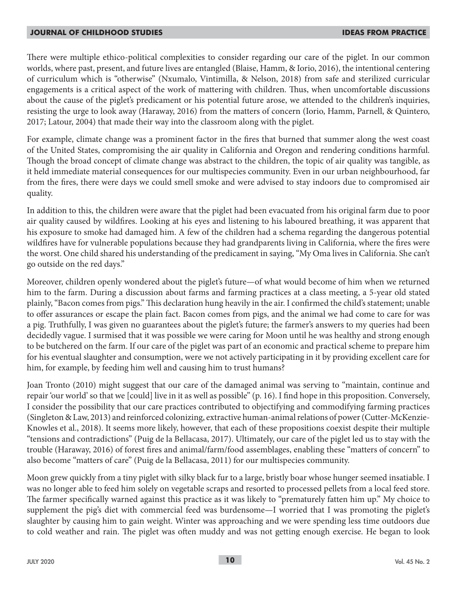There were multiple ethico-political complexities to consider regarding our care of the piglet. In our common worlds, where past, present, and future lives are entangled (Blaise, Hamm, & Iorio, 2016), the intentional centering of curriculum which is "otherwise" (Nxumalo, Vintimilla, & Nelson, 2018) from safe and sterilized curricular engagements is a critical aspect of the work of mattering with children. Thus, when uncomfortable discussions about the cause of the piglet's predicament or his potential future arose, we attended to the children's inquiries, resisting the urge to look away (Haraway, 2016) from the matters of concern (Iorio, Hamm, Parnell, & Quintero, 2017; Latour, 2004) that made their way into the classroom along with the piglet.

For example, climate change was a prominent factor in the fires that burned that summer along the west coast of the United States, compromising the air quality in California and Oregon and rendering conditions harmful. Though the broad concept of climate change was abstract to the children, the topic of air quality was tangible, as it held immediate material consequences for our multispecies community. Even in our urban neighbourhood, far from the fires, there were days we could smell smoke and were advised to stay indoors due to compromised air quality.

In addition to this, the children were aware that the piglet had been evacuated from his original farm due to poor air quality caused by wildfires. Looking at his eyes and listening to his laboured breathing, it was apparent that his exposure to smoke had damaged him. A few of the children had a schema regarding the dangerous potential wildfires have for vulnerable populations because they had grandparents living in California, where the fires were the worst. One child shared his understanding of the predicament in saying, "My Oma lives in California. She can't go outside on the red days."

Moreover, children openly wondered about the piglet's future—of what would become of him when we returned him to the farm. During a discussion about farms and farming practices at a class meeting, a 5-year old stated plainly, "Bacon comes from pigs." This declaration hung heavily in the air. I confirmed the child's statement; unable to offer assurances or escape the plain fact. Bacon comes from pigs, and the animal we had come to care for was a pig. Truthfully, I was given no guarantees about the piglet's future; the farmer's answers to my queries had been decidedly vague. I surmised that it was possible we were caring for Moon until he was healthy and strong enough to be butchered on the farm. If our care of the piglet was part of an economic and practical scheme to prepare him for his eventual slaughter and consumption, were we not actively participating in it by providing excellent care for him, for example, by feeding him well and causing him to trust humans?

Joan Tronto (2010) might suggest that our care of the damaged animal was serving to "maintain, continue and repair 'our world' so that we [could] live in it as well as possible" (p. 16). I find hope in this proposition. Conversely, I consider the possibility that our care practices contributed to objectifying and commodifying farming practices (Singleton & Law, 2013) and reinforced colonizing, extractive human-animal relations of power (Cutter-McKenzie-Knowles et al., 2018). It seems more likely, however, that each of these propositions coexist despite their multiple "tensions and contradictions" (Puig de la Bellacasa, 2017). Ultimately, our care of the piglet led us to stay with the trouble (Haraway, 2016) of forest fires and animal/farm/food assemblages, enabling these "matters of concern" to also become "matters of care" (Puig de la Bellacasa, 2011) for our multispecies community.

Moon grew quickly from a tiny piglet with silky black fur to a large, bristly boar whose hunger seemed insatiable. I was no longer able to feed him solely on vegetable scraps and resorted to processed pellets from a local feed store. The farmer specifically warned against this practice as it was likely to "prematurely fatten him up." My choice to supplement the pig's diet with commercial feed was burdensome—I worried that I was promoting the piglet's slaughter by causing him to gain weight. Winter was approaching and we were spending less time outdoors due to cold weather and rain. The piglet was often muddy and was not getting enough exercise. He began to look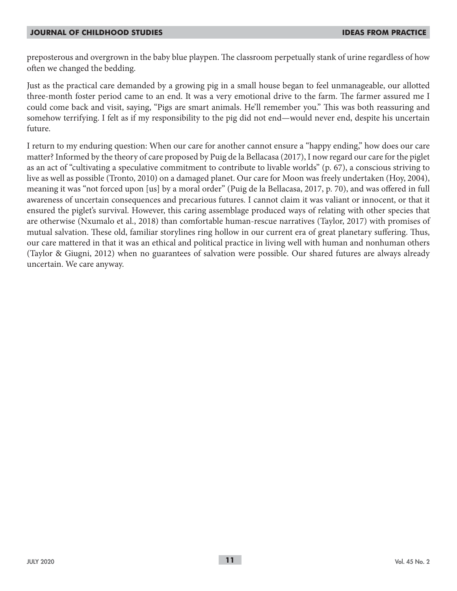preposterous and overgrown in the baby blue playpen. The classroom perpetually stank of urine regardless of how often we changed the bedding.

Just as the practical care demanded by a growing pig in a small house began to feel unmanageable, our allotted three-month foster period came to an end. It was a very emotional drive to the farm. The farmer assured me I could come back and visit, saying, "Pigs are smart animals. He'll remember you." This was both reassuring and somehow terrifying. I felt as if my responsibility to the pig did not end—would never end, despite his uncertain future.

I return to my enduring question: When our care for another cannot ensure a "happy ending," how does our care matter? Informed by the theory of care proposed by Puig de la Bellacasa (2017), I now regard our care for the piglet as an act of "cultivating a speculative commitment to contribute to livable worlds" (p. 67), a conscious striving to live as well as possible (Tronto, 2010) on a damaged planet. Our care for Moon was freely undertaken (Hoy, 2004), meaning it was "not forced upon [us] by a moral order" (Puig de la Bellacasa, 2017, p. 70), and was offered in full awareness of uncertain consequences and precarious futures. I cannot claim it was valiant or innocent, or that it ensured the piglet's survival. However, this caring assemblage produced ways of relating with other species that are otherwise (Nxumalo et al., 2018) than comfortable human-rescue narratives (Taylor, 2017) with promises of mutual salvation. These old, familiar storylines ring hollow in our current era of great planetary suffering. Thus, our care mattered in that it was an ethical and political practice in living well with human and nonhuman others (Taylor & Giugni, 2012) when no guarantees of salvation were possible. Our shared futures are always already uncertain. We care anyway.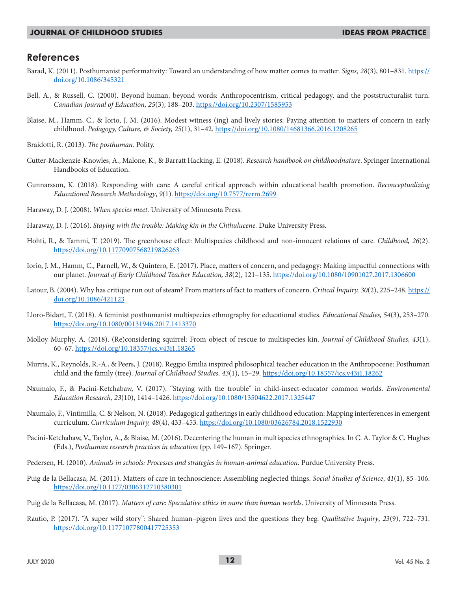## **References**

- Barad, K. (2011). Posthumanist performativity: Toward an understanding of how matter comes to matter. *Signs, 28*(3), 801–831. https:// doi.org/10.1086/345321
- Bell, A., & Russell, C. (2000). Beyond human, beyond words: Anthropocentrism, critical pedagogy, and the poststructuralist turn. *Canadian Journal of Education, 25*(3), 188–203. https://doi.org/10.2307/1585953
- Blaise, M., Hamm, C., & Iorio, J. M. (2016). Modest witness (ing) and lively stories: Paying attention to matters of concern in early childhood. *Pedagogy, Culture, & Society, 25*(1), 31–42. https://doi.org/10.1080/14681366.2016.1208265
- Braidotti, R. (2013). *The posthuman.* Polity.
- Cutter-Mackenzie-Knowles, A., Malone, K., & Barratt Hacking, E. (2018). *Research handbook on childhoodnature*. Springer International Handbooks of Education.
- Gunnarsson, K. (2018). Responding with care: A careful critical approach within educational health promotion. *Reconceptualizing Educational Research Methodology*, *9*(1). https://doi.org/10.7577/rerm.2699
- Haraway, D. J. (2008). *When species meet*. University of Minnesota Press.
- Haraway, D. J. (2016). *Staying with the trouble: Making kin in the Chthulucene*. Duke University Press.
- Hohti, R., & Tammi, T. (2019). The greenhouse effect: Multispecies childhood and non-innocent relations of care. *Childhood, 26*(2). https://doi.org/10.11770907568219826263
- Iorio, J. M., Hamm, C., Parnell, W., & Quintero, E. (2017). Place, matters of concern, and pedagogy: Making impactful connections with our planet. *Journal of Early Childhood Teacher Education, 38*(2), 121–135. https://doi.org/10.1080/10901027.2017.1306600
- Latour, B. (2004). Why has critique run out of steam? From matters of fact to matters of concern. *Critical Inquiry, 30*(2), 225–248. https:// doi.org/10.1086/421123
- Lloro-Bidart, T. (2018). A feminist posthumanist multispecies ethnography for educational studies. *Educational Studies, 54*(3), 253–270. https://doi.org/10.1080/00131946.2017.1413370
- Molloy Murphy, A. (2018). (Re)considering squirrel: From object of rescue to multispecies kin. *Journal of Childhood Studies*, *43*(1), 60–67. https://doi.org/10.18357/jcs.v43i1.18265
- Murris, K., Reynolds, R.-A., & Peers, J. (2018). Reggio Emilia inspired philosophical teacher education in the Anthropocene: Posthuman child and the family (tree). *Journal of Childhood Studies, 43*(1), 15–29. https://doi.org/10.18357/jcs.v43i1.18262
- Nxumalo, F., & Pacini-Ketchabaw, V. (2017). "Staying with the trouble" in child-insect-educator common worlds. *Environmental Education Research, 23*(10), 1414–1426. https://doi.org/10.1080/13504622.2017.1325447
- Nxumalo, F., Vintimilla, C. & Nelson, N. (2018). Pedagogical gatherings in early childhood education: Mapping interferences in emergent curriculum. *Curriculum Inquiry, 48*(4), 433–453*.* https://doi.org/10.1080/03626784.2018.1522930
- Pacini-Ketchabaw, V., Taylor, A., & Blaise, M. (2016). Decentering the human in multispecies ethnographies. In C. A. Taylor & C. Hughes (Eds.), *Posthuman research practices in education* (pp. 149–167). Springer.
- Pedersen, H. (2010). *Animals in schools: Processes and strategies in human-animal education.* Purdue University Press.
- Puig de la Bellacasa, M. (2011). Matters of care in technoscience: Assembling neglected things. *Social Studies of Science*, *41*(1), 85–106. https://doi.org/10.1177/0306312710380301
- Puig de la Bellacasa, M. (2017). *Matters of care: Speculative ethics in more than human worlds*. University of Minnesota Press.
- Rautio, P. (2017). "A super wild story": Shared human–pigeon lives and the questions they beg. *Qualitative Inquiry*, *23*(9), 722–731. https://doi.org/10.11771077800417725353